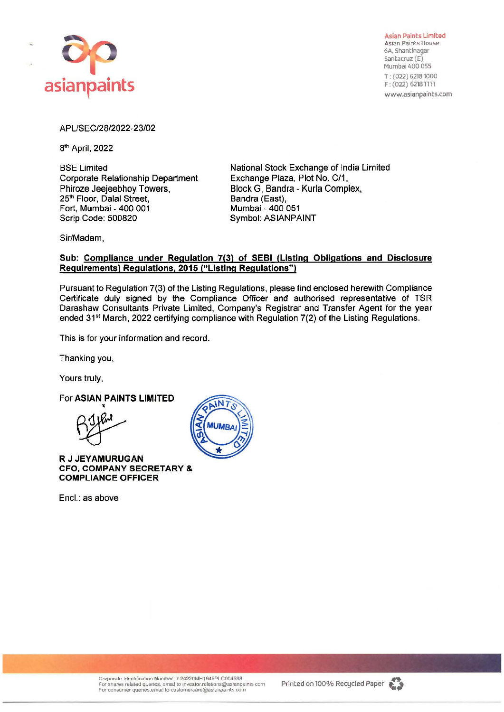

**Asian** Paints Limited Asian Paints House GA, Shantinagar Santacruz (E) Mumbai 400 055 T : (022) 62181000 F : (022) 62181111 www.asianpaints.com

# APUSEC/28/2022-23/02

8th April, 2022

BSE Limited Corporate Relationship Department Phiroze Jeejeebhoy Towers, 25<sup>th</sup> Floor, Dalal Street, Fort, Mumbai - 400 001 Scrip Code: 500820

National Stock Exchange of India Limited Exchange Plaza, Plot No. C/1, Block G, Sandra - Kurla Complex, Sandra (East), Mumbai - 400 051 Symbol: ASlANPAINT

Sir/Madam,

## **Sub: Compliance under Regulation 7(3) of SEBI (Listing Obligations and Disclosure Requirements) Regulations, 2015 ("Listing Regulations")**

Pursuant to Regulation 7(3) of the Listing Regulations, please find enclosed herewith Compliance Certificate duly signed by the Compliance Officer and authorised representative of TSR Darashaw Consultants Private Limited, Company's Registrar and Transfer Agent for the year ended 31<sup>st</sup> March, 2022 certifying compliance with Regulation 7(2) of the Listing Regulations.

This is for your information and record.

Thanking you,

Yours truly,

For **ASIAN PAINTS LIMITED** 

**1(** 

**R J JEY AMURUGAN CFO, COMPANY SECRETARY** & **COMPLIANCE OFFICER** 

Encl.: as above



Corporate Identification Number : L24220MH1945PLC004598<br>For shares related quenes, email to investor.relations@asianpaints com<br>For consumer quenes,email to customercare@asianpaints.com